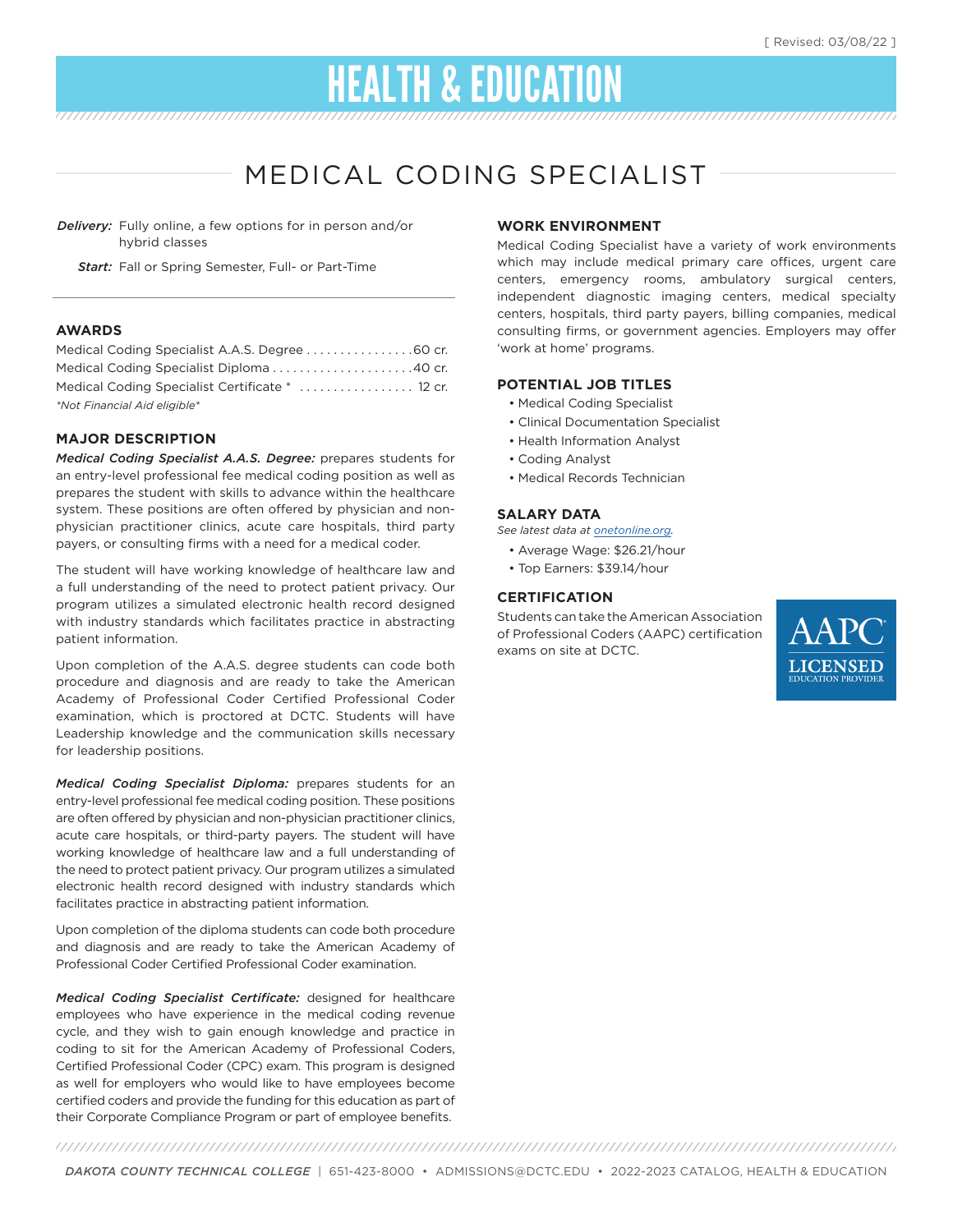# HEALTH & EDUCATION

# MEDICAL CODING SPECIALIST

*Delivery:* Fully online, a few options for in person and/or hybrid classes

*Start:* Fall or Spring Semester, Full- or Part-Time

#### **AWARDS**

| Medical Coding Specialist A.A.S. Degree 60 cr.  |  |
|-------------------------------------------------|--|
| Medical Coding Specialist Diploma 40 cr.        |  |
| Medical Coding Specialist Certificate *  12 cr. |  |
| *Not Financial Aid eligible*                    |  |

#### **MAJOR DESCRIPTION**

*Medical Coding Specialist A.A.S. Degree:* prepares students for an entry-level professional fee medical coding position as well as prepares the student with skills to advance within the healthcare system. These positions are often offered by physician and nonphysician practitioner clinics, acute care hospitals, third party payers, or consulting firms with a need for a medical coder.

The student will have working knowledge of healthcare law and a full understanding of the need to protect patient privacy. Our program utilizes a simulated electronic health record designed with industry standards which facilitates practice in abstracting patient information.

Upon completion of the A.A.S. degree students can code both procedure and diagnosis and are ready to take the American Academy of Professional Coder Certified Professional Coder examination, which is proctored at DCTC. Students will have Leadership knowledge and the communication skills necessary for leadership positions.

*Medical Coding Specialist Diploma:* prepares students for an entry-level professional fee medical coding position. These positions are often offered by physician and non-physician practitioner clinics, acute care hospitals, or third-party payers. The student will have working knowledge of healthcare law and a full understanding of the need to protect patient privacy. Our program utilizes a simulated electronic health record designed with industry standards which facilitates practice in abstracting patient information.

Upon completion of the diploma students can code both procedure and diagnosis and are ready to take the American Academy of Professional Coder Certified Professional Coder examination.

*Medical Coding Specialist Certificate:* designed for healthcare employees who have experience in the medical coding revenue cycle, and they wish to gain enough knowledge and practice in coding to sit for the American Academy of Professional Coders, Certified Professional Coder (CPC) exam. This program is designed as well for employers who would like to have employees become certified coders and provide the funding for this education as part of their Corporate Compliance Program or part of employee benefits.

#### **WORK ENVIRONMENT**

Medical Coding Specialist have a variety of work environments which may include medical primary care offices, urgent care centers, emergency rooms, ambulatory surgical centers, independent diagnostic imaging centers, medical specialty centers, hospitals, third party payers, billing companies, medical consulting firms, or government agencies. Employers may offer 'work at home' programs.

#### **POTENTIAL JOB TITLES**

- Medical Coding Specialist
- Clinical Documentation Specialist
- Health Information Analyst
- Coding Analyst
- Medical Records Technician

#### **SALARY DATA**

*See latest data at onetonline.org.*

- Average Wage: \$26.21/hour
- Top Earners: \$39.14/hour

#### **CERTIFICATION**

Students can take the American Association of Professional Coders (AAPC) certification exams on site at DCTC.



*DAKOTA COUNTY TECHNICAL COLLEGE* | 651-423-8000 • ADMISSIONS@DCTC.EDU • 2022-2023 CATALOG, HEALTH & EDUCATION